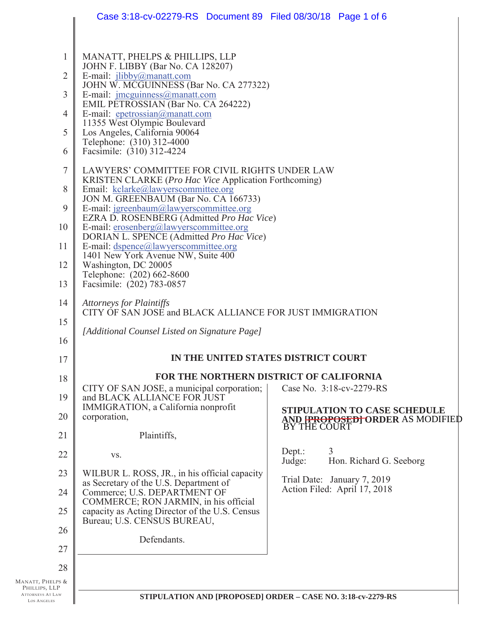|                                               | Case 3:18-cv-02279-RS  Document 89  Filed 08/30/18  Page 1 of 6                                                                                                                                                                                                                                                                                                                                                                                                                                                                      |                                                                                        |  |  |
|-----------------------------------------------|--------------------------------------------------------------------------------------------------------------------------------------------------------------------------------------------------------------------------------------------------------------------------------------------------------------------------------------------------------------------------------------------------------------------------------------------------------------------------------------------------------------------------------------|----------------------------------------------------------------------------------------|--|--|
| 1<br>$\overline{2}$                           | MANATT, PHELPS & PHILLIPS, LLP<br>JOHN F. LIBBY (Bar No. CA 128207)<br>E-mail: jlibby@manatt.com<br>JOHN W. MCGUINNESS (Bar No. CA 277322)                                                                                                                                                                                                                                                                                                                                                                                           |                                                                                        |  |  |
| $\mathfrak{Z}$<br>$\overline{4}$<br>5         | E-mail: jmcguinness@manatt.com<br>EMIL PETROSSIAN (Bar No. CA 264222)<br>E-mail: epetrossian@manatt.com<br>11355 West Olympic Boulevard<br>Los Angeles, California 90064                                                                                                                                                                                                                                                                                                                                                             |                                                                                        |  |  |
| 6                                             | Telephone: (310) 312-4000<br>Facsimile: (310) 312-4224                                                                                                                                                                                                                                                                                                                                                                                                                                                                               |                                                                                        |  |  |
| 7<br>8<br>9<br>10<br>11<br>12<br>13           | LAWYERS' COMMITTEE FOR CIVIL RIGHTS UNDER LAW<br>KRISTEN CLARKE (Pro Hac Vice Application Forthcoming)<br>Email: kclarke@lawyerscommittee.org<br>JON M. GREENBAUM (Bar No. CA 166733)<br>E-mail: jgreenbaum@lawyerscommittee.org<br>EZRA D. ROSENBERG (Admitted Pro Hac Vice)<br>E-mail: erosenberg@lawyerscommittee.org<br>DORIAN L. SPENCE (Admitted Pro Hac Vice)<br>E-mail: dspence@lawyerscommittee.org<br>1401 New York Avenue NW, Suite 400<br>Washington, DC 20005<br>Telephone: (202) 662-8600<br>Facsimile: (202) 783-0857 |                                                                                        |  |  |
| 14<br>15<br>16<br>17                          | <b>Attorneys for Plaintiffs</b><br>CITY OF SAN JOSE and BLACK ALLIANCE FOR JUST IMMIGRATION<br>[Additional Counsel Listed on Signature Page]<br>IN THE UNITED STATES DISTRICT COURT                                                                                                                                                                                                                                                                                                                                                  |                                                                                        |  |  |
|                                               |                                                                                                                                                                                                                                                                                                                                                                                                                                                                                                                                      |                                                                                        |  |  |
| 18<br>19                                      | FOR THE NORTHERN DISTRICT OF CALIFORNIA<br>CITY OF SAN JOSE, a municipal corporation;<br>and BLACK ALLIANCE FOR JUST                                                                                                                                                                                                                                                                                                                                                                                                                 | Case No. 3:18-cv-2279-RS                                                               |  |  |
| 20<br>21                                      | IMMIGRATION, a California nonprofit<br>corporation,<br>Plaintiffs,                                                                                                                                                                                                                                                                                                                                                                                                                                                                   | <b>STIPULATION TO CASE SCHEDULE</b><br>AND FROPOSEDT ORDER AS MODIFIED<br>BY THE COURT |  |  |
| 22                                            | VS.                                                                                                                                                                                                                                                                                                                                                                                                                                                                                                                                  | 3<br>Dept.:<br>Hon. Richard G. Seeborg<br>Judge:                                       |  |  |
| 23                                            | WILBUR L. ROSS, JR., in his official capacity<br>as Secretary of the U.S. Department of                                                                                                                                                                                                                                                                                                                                                                                                                                              | Trial Date: January 7, 2019                                                            |  |  |
| 24<br>25                                      | Commerce; U.S. DEPARTMENT OF<br>COMMERCE; RON JARMIN, in his official<br>capacity as Acting Director of the U.S. Census<br>Bureau; U.S. CENSUS BUREAU,                                                                                                                                                                                                                                                                                                                                                                               | Action Filed: April 17, 2018                                                           |  |  |
| 26                                            | Defendants.                                                                                                                                                                                                                                                                                                                                                                                                                                                                                                                          |                                                                                        |  |  |
| 27<br>28                                      |                                                                                                                                                                                                                                                                                                                                                                                                                                                                                                                                      |                                                                                        |  |  |
| Manatt, Phelps &<br>PHILLIPS, LLP             |                                                                                                                                                                                                                                                                                                                                                                                                                                                                                                                                      |                                                                                        |  |  |
| <b>ATTORNEYS AT LAW</b><br><b>LOS ANGELES</b> | STIPULATION AND [PROPOSED] ORDER - CASE NO. 3:18-cv-2279-RS                                                                                                                                                                                                                                                                                                                                                                                                                                                                          |                                                                                        |  |  |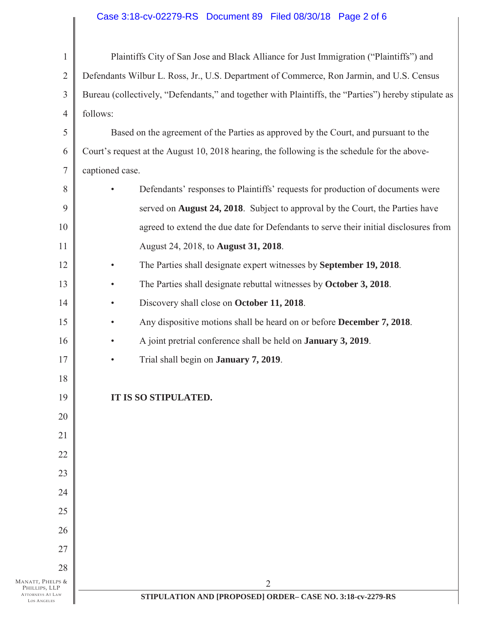## Case 3:18-cv-02279-RS Document 89 Filed 08/30/18 Page 2 of 6

| $\mathbf{1}$                                                                | Plaintiffs City of San Jose and Black Alliance for Just Immigration ("Plaintiffs") and               |  |  |
|-----------------------------------------------------------------------------|------------------------------------------------------------------------------------------------------|--|--|
| $\overline{2}$                                                              | Defendants Wilbur L. Ross, Jr., U.S. Department of Commerce, Ron Jarmin, and U.S. Census             |  |  |
| 3                                                                           | Bureau (collectively, "Defendants," and together with Plaintiffs, the "Parties") hereby stipulate as |  |  |
| 4                                                                           | follows:                                                                                             |  |  |
| 5                                                                           | Based on the agreement of the Parties as approved by the Court, and pursuant to the                  |  |  |
| 6                                                                           | Court's request at the August 10, 2018 hearing, the following is the schedule for the above-         |  |  |
| $\overline{7}$                                                              | captioned case.                                                                                      |  |  |
| 8                                                                           | Defendants' responses to Plaintiffs' requests for production of documents were<br>$\bullet$          |  |  |
| 9                                                                           | served on August 24, 2018. Subject to approval by the Court, the Parties have                        |  |  |
| 10                                                                          | agreed to extend the due date for Defendants to serve their initial disclosures from                 |  |  |
| 11                                                                          | August 24, 2018, to August 31, 2018.                                                                 |  |  |
| 12                                                                          | The Parties shall designate expert witnesses by September 19, 2018.<br>$\bullet$                     |  |  |
| 13                                                                          | The Parties shall designate rebuttal witnesses by October 3, 2018.<br>$\bullet$                      |  |  |
| 14                                                                          | Discovery shall close on October 11, 2018.<br>$\bullet$                                              |  |  |
| 15                                                                          | Any dispositive motions shall be heard on or before December 7, 2018.<br>$\bullet$                   |  |  |
| 16                                                                          | A joint pretrial conference shall be held on <b>January 3, 2019</b> .<br>$\bullet$                   |  |  |
| 17                                                                          | Trial shall begin on <b>January 7, 2019</b> .<br>$\bullet$                                           |  |  |
| 18                                                                          |                                                                                                      |  |  |
| 19                                                                          | IT IS SO STIPULATED.                                                                                 |  |  |
| 20                                                                          |                                                                                                      |  |  |
| 21                                                                          |                                                                                                      |  |  |
| 22                                                                          |                                                                                                      |  |  |
| 23                                                                          |                                                                                                      |  |  |
| 24                                                                          |                                                                                                      |  |  |
| 25                                                                          |                                                                                                      |  |  |
| 26                                                                          |                                                                                                      |  |  |
| 27                                                                          |                                                                                                      |  |  |
| 28                                                                          |                                                                                                      |  |  |
| MANATT, PHELPS &<br>PHILLIPS, LLP<br><b>ATTORNEYS AT LAW</b><br>LOS ANGELES | $\overline{2}$<br>STIPULATION AND [PROPOSED] ORDER- CASE NO. 3:18-cv-2279-RS                         |  |  |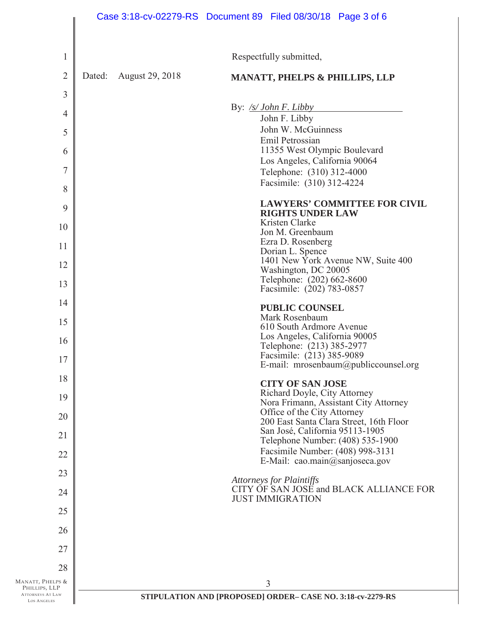|                                        |        | Case 3:18-cv-02279-RS Document 89 Filed 08/30/18 Page 3 of 6 |                                                                    |                                         |
|----------------------------------------|--------|--------------------------------------------------------------|--------------------------------------------------------------------|-----------------------------------------|
| 1                                      |        |                                                              | Respectfully submitted,                                            |                                         |
| $\overline{2}$                         | Dated: | <b>August 29, 2018</b>                                       | <b>MANATT, PHELPS &amp; PHILLIPS, LLP</b>                          |                                         |
| 3                                      |        |                                                              |                                                                    |                                         |
| $\overline{4}$                         |        |                                                              | By: <u>/s/ John F. Libby</u><br>John F. Libby                      |                                         |
| 5                                      |        |                                                              | John W. McGuinness                                                 |                                         |
| 6                                      |        |                                                              | Emil Petrossian<br>11355 West Olympic Boulevard                    |                                         |
| $\overline{7}$                         |        |                                                              | Los Angeles, California 90064<br>Telephone: (310) 312-4000         |                                         |
| 8                                      |        |                                                              | Facsimile: (310) 312-4224                                          |                                         |
| 9                                      |        |                                                              | <b>RIGHTS UNDER LAW</b>                                            | <b>LAWYERS' COMMITTEE FOR CIVIL</b>     |
| 10                                     |        |                                                              | Kristen Clarke<br>Jon M. Greenbaum                                 |                                         |
| 11                                     |        |                                                              | Ezra D. Rosenberg<br>Dorian L. Spence                              |                                         |
| 12                                     |        |                                                              | Washington, DC 20005                                               | 1401 New York Avenue NW, Suite 400      |
| 13                                     |        |                                                              | Telephone: (202) 662-8600<br>Facsimile: (202) 783-0857             |                                         |
| 14                                     |        |                                                              | <b>PUBLIC COUNSEL</b>                                              |                                         |
| 15                                     |        |                                                              | Mark Rosenbaum                                                     |                                         |
| 16                                     |        |                                                              | 610 South Ardmore Avenue<br>Los Angeles, California 90005          |                                         |
| $\frac{1}{2}$                          |        |                                                              | Telephone: (213) 385-2977<br>Facsimile: (213) 385-9089             |                                         |
| 18                                     |        |                                                              |                                                                    | E-mail: mrosenbaum@publiccounsel.org    |
|                                        |        |                                                              | <b>CITY OF SAN JOSE</b><br>Richard Doyle, City Attorney            |                                         |
| 19                                     |        |                                                              | Office of the City Attorney                                        | Nora Frimann, Assistant City Attorney   |
| 20                                     |        |                                                              | San José, California 95113-1905                                    | 200 East Santa Clara Street, 16th Floor |
| 21                                     |        |                                                              | Telephone Number: (408) 535-1900                                   |                                         |
| 22                                     |        |                                                              | Facsimile Number: (408) 998-3131<br>E-Mail: cao.main@sanjoseca.gov |                                         |
| 23                                     |        |                                                              | <b>Attorneys for Plaintiffs</b>                                    |                                         |
| 24                                     |        |                                                              | <b>JUST IMMIGRATION</b>                                            | CITY OF SAN JOSE and BLACK ALLIANCE FOR |
| 25                                     |        |                                                              |                                                                    |                                         |
| 26                                     |        |                                                              |                                                                    |                                         |
| 27                                     |        |                                                              |                                                                    |                                         |
| 28                                     |        |                                                              |                                                                    |                                         |
| MANATT, PHELPS &<br>PHILLIPS, LLP      |        |                                                              | 3                                                                  |                                         |
| <b>ATTORNEYS AT LAW</b><br>LOS ANGELES |        |                                                              | STIPULATION AND [PROPOSED] ORDER- CASE NO. 3:18-cv-2279-RS         |                                         |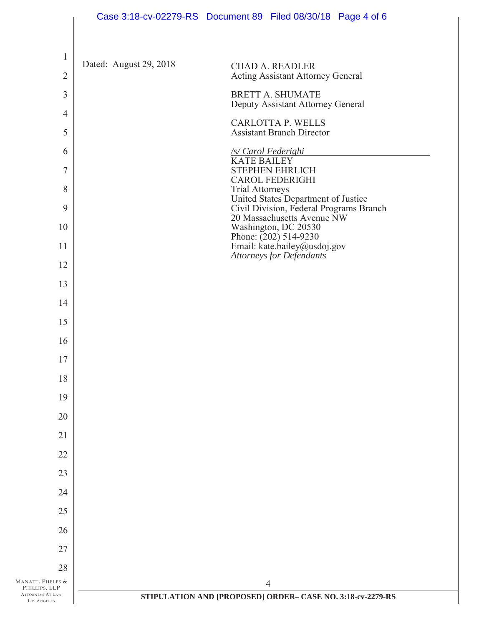|                                                         | Case 3:18-cv-02279-RS Document 89 Filed 08/30/18 Page 4 of 6                                             |
|---------------------------------------------------------|----------------------------------------------------------------------------------------------------------|
| $\mathbf{1}$                                            |                                                                                                          |
| $\overline{2}$                                          | Dated: August 29, 2018<br><b>CHAD A. READLER</b><br><b>Acting Assistant Attorney General</b>             |
| 3                                                       | <b>BRETT A. SHUMATE</b>                                                                                  |
| $\overline{4}$                                          | Deputy Assistant Attorney General<br><b>CARLOTTA P. WELLS</b>                                            |
| 5                                                       | <b>Assistant Branch Director</b>                                                                         |
| 6                                                       | /s/ Carol Federighi<br><b>KATE BAILEY</b>                                                                |
| $\overline{7}$                                          | <b>STEPHEN EHRLICH</b><br><b>CAROL FEDERIGHI</b>                                                         |
| 8<br>9                                                  | <b>Trial Attorneys</b><br>United States Department of Justice<br>Civil Division, Federal Programs Branch |
| 10                                                      | 20 Massachusetts Avenue NW<br>Washington, DC 20530                                                       |
| 11                                                      | Phone: $(202)$ 514-9230<br>Email: kate.bailey@usdoj.gov                                                  |
| 12                                                      | <b>Attorneys for Defendants</b>                                                                          |
| 13                                                      |                                                                                                          |
| 14                                                      |                                                                                                          |
| 15                                                      |                                                                                                          |
| 16                                                      |                                                                                                          |
| 17                                                      |                                                                                                          |
| 18                                                      |                                                                                                          |
| 19                                                      |                                                                                                          |
| 20                                                      |                                                                                                          |
| 21                                                      |                                                                                                          |
| 22                                                      |                                                                                                          |
| 23                                                      |                                                                                                          |
| 24                                                      |                                                                                                          |
| 25                                                      |                                                                                                          |
| 26                                                      |                                                                                                          |
| 27                                                      |                                                                                                          |
| 28<br>MANATT, PHELPS &                                  | $\overline{4}$                                                                                           |
| PHILLIPS, LLP<br>ATTORNEYS AT LAW<br><b>LOS ANGELES</b> | STIPULATION AND [PROPOSED] ORDER- CASE NO. 3:18-cv-2279-RS                                               |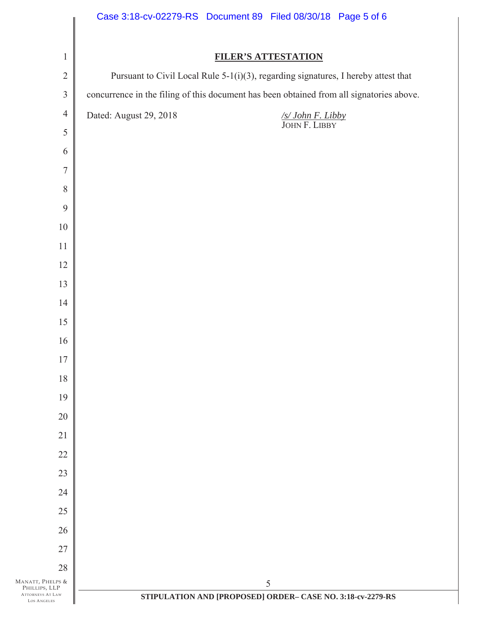|                                                  | Case 3:18-cv-02279-RS Document 89 Filed 08/30/18 Page 5 of 6                               |
|--------------------------------------------------|--------------------------------------------------------------------------------------------|
| $\mathbf{1}$                                     | <b>FILER'S ATTESTATION</b>                                                                 |
| $\overline{2}$                                   | Pursuant to Civil Local Rule 5-1(i)(3), regarding signatures, I hereby attest that         |
| $\mathfrak{Z}$                                   | concurrence in the filing of this document has been obtained from all signatories above.   |
| $\overline{4}$                                   | Dated: August 29, 2018<br>$\frac{\sqrt{S/\textit{John F. Libby}}}{\textit{JOHN F. LIBBY}}$ |
| 5                                                |                                                                                            |
| 6                                                |                                                                                            |
| $\boldsymbol{7}$                                 |                                                                                            |
| 8                                                |                                                                                            |
| 9                                                |                                                                                            |
| $10\,$                                           |                                                                                            |
| 11                                               |                                                                                            |
| 12                                               |                                                                                            |
| 13                                               |                                                                                            |
| 14                                               |                                                                                            |
| 15                                               |                                                                                            |
| 16                                               |                                                                                            |
| 17                                               |                                                                                            |
| 18                                               |                                                                                            |
| 19                                               |                                                                                            |
| 20                                               |                                                                                            |
| 21                                               |                                                                                            |
| 22                                               |                                                                                            |
| 23                                               |                                                                                            |
| 24                                               |                                                                                            |
| 25                                               |                                                                                            |
| 26                                               |                                                                                            |
| 27                                               |                                                                                            |
| 28<br>MANATT, PHELPS &                           | 5                                                                                          |
| PHILLIPS, LLP<br>ATTORNEYS AT LAW<br>LOS ANGELES | STIPULATION AND [PROPOSED] ORDER- CASE NO. 3:18-cv-2279-RS                                 |